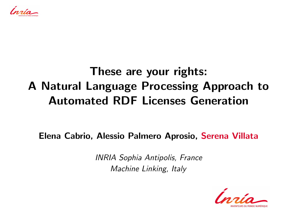,<br>nata

### These are your rights: A Natural Language Processing Approach to Automated RDF Licenses Generation

Elena Cabrio, Alessio Palmero Aprosio, Serena Villata

INRIA Sophia Antipolis, France Machine Linking, Italy

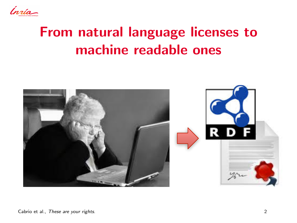

# From natural language licenses to machine readable ones

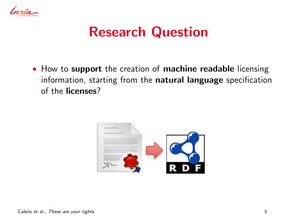

### Research Question

• How to support the creation of machine readable licensing information, starting from the natural language specification of the licenses?

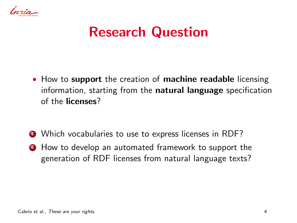

# Research Question

• How to support the creation of machine readable licensing information, starting from the natural language specification of the licenses?

- Which vocabularies to use to express licenses in RDF?
- **2** How to develop an automated framework to support the generation of RDF licenses from natural language texts?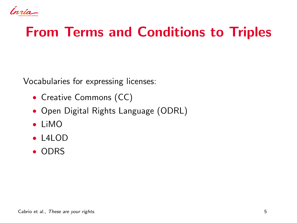Insia-

# From Terms and Conditions to Triples

Vocabularies for expressing licenses:

- Creative Commons (CC)
- Open Digital Rights Language (ODRL)
- LiMO
- $\bullet$  L4LOD
- ODRS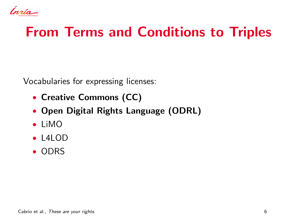Insia-

# From Terms and Conditions to Triples

Vocabularies for expressing licenses:

- Creative Commons (CC)
- Open Digital Rights Language (ODRL)
- LiMO
- $\bullet$  L4LOD
- ODRS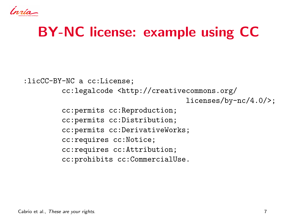Ínsia-

# BY-NC license: example using CC

:licCC-BY-NC a cc:License; cc:legalcode <http://creativecommons.org/ licenses/by-nc/4.0/>; cc:permits cc:Reproduction; cc:permits cc:Distribution; cc:permits cc:DerivativeWorks; cc:requires cc:Notice; cc:requires cc:Attribution; cc:prohibits cc:CommercialUse.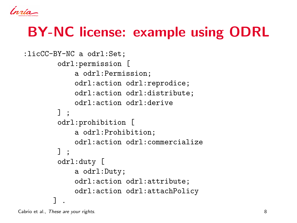nata.

# BY-NC license: example using ODRL

```
:licCC-BY-NC a odrl:Set;
        odrl:permission [
            a odrl:Permission;
            odrl:action odrl:reprodice;
            odrl:action odrl:distribute;
            odrl:action odrl:derive
       ] ;
        odrl:prohibition [
            a odrl:Prohibition;
            odrl:action odrl:commercialize
       ] ;
        odrl:duty [
            a odrl:Duty;
            odrl:action odrl:attribute;
            odrl:action odrl:attachPolicy
       ] .
```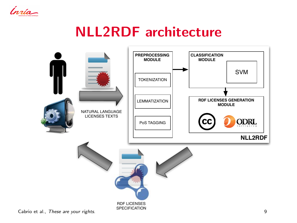

# NLL2RDF architecture

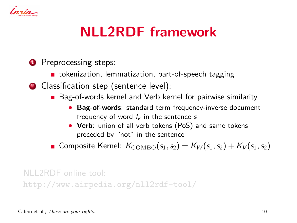

# NLL2RDF framework

#### **1** Preprocessing steps:

- **tiomage 12** tokenization, lemmatization, part-of-speech tagging
- 2 Classification step (sentence level):
	- Bag-of-words kernel and Verb kernel for pairwise similarity
		- Bag-of-words: standard term frequency-inverse document frequency of word  $f_k$  in the sentence s
		- Verb: union of all verb tokens (PoS) and same tokens preceded by "not" in the sentence

Gomposite Kernel:  $K_{\text{COMBO}}(s_1, s_2) = K_W(s_1, s_2) + K_V(s_1, s_2)$ 

NLL2RDF online tool: http://www.airpedia.org/nll2rdf-tool/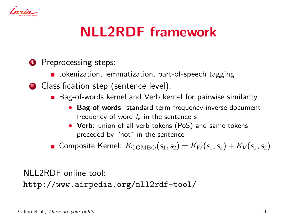

# NLL2RDF framework

#### **1** Preprocessing steps:

- **tiomage 12** tokenization, lemmatization, part-of-speech tagging
- 2 Classification step (sentence level):
	- Bag-of-words kernel and Verb kernel for pairwise similarity
		- Bag-of-words: standard term frequency-inverse document frequency of word  $f_k$  in the sentence s
		- Verb: union of all verb tokens (PoS) and same tokens preceded by "not" in the sentence

Gomposite Kernel:  $K_{\text{COMBO}}(s_1, s_2) = K_W(s_1, s_2) + K_V(s_1, s_2)$ 

NLL2RDF online tool:

http://www.airpedia.org/nll2rdf-tool/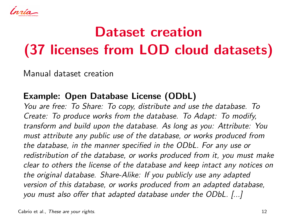lnata.

# Dataset creation (37 licenses from LOD cloud datasets)

Manual dataset creation

#### Example: Open Database License (ODbL)

You are free: To Share: To copy, distribute and use the database. To Create: To produce works from the database. To Adapt: To modify, transform and build upon the database. As long as you: Attribute: You must attribute any public use of the database, or works produced from the database, in the manner specified in the ODbL. For any use or redistribution of the database, or works produced from it, you must make clear to others the license of the database and keep intact any notices on the original database. Share-Alike: If you publicly use any adapted version of this database, or works produced from an adapted database, you must also offer that adapted database under the ODbL. [...]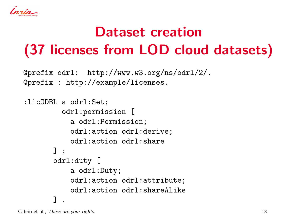يدمرس

# Dataset creation (37 licenses from LOD cloud datasets)

```
@prefix odrl: http://www.w3.org/ns/odrl/2/.
@prefix : http://example/licenses.
```

```
:licODBL a odrl:Set;
         odrl:permission [
           a odrl:Permission;
           odrl:action odrl:derive;
           odrl:action odrl:share
      ] ;
       odrl:duty [
           a odrl:Duty;
           odrl:action odrl:attribute;
           odrl:action odrl:shareAlike
       ] .
```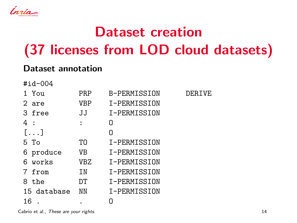Insig-

# Dataset creation (37 licenses from LOD cloud datasets)

#### Dataset annotation

#id-004

| $1$ $Y011$   | <b>PRP</b> | B-PERMISSION | <b>DERTVE</b> |
|--------------|------------|--------------|---------------|
| 2 are        | VBP        | T-PERMISSION |               |
| 3 free       | JJ         | I-PERMISSION |               |
| 4 :          | ÷          | n            |               |
| $[ \ldots ]$ |            | n            |               |
| 5 To         | TO         | I-PERMISSION |               |
| 6 produce    | VB         | I-PERMISSION |               |
| 6 works      | <b>VBZ</b> | I-PERMISSION |               |
| 7 from       | <b>TN</b>  | I-PERMISSION |               |
| 8 the        | DТ         | I-PERMISSION |               |
| 15 database  | NN         | I-PERMISSION |               |
| 16           |            | Π            |               |

Cabrio et al., These are your rights. 14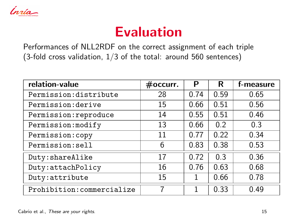

### Evaluation

Performances of NLL2RDF on the correct assignment of each triple (3-fold cross validation, 1/3 of the total: around 560 sentences)

| relation-value             | #occurr. | Р    | R    | f-measure |
|----------------------------|----------|------|------|-----------|
| Permission:distribute      | 28       | 0.74 | 0.59 | 0.65      |
| Permission: derive         | 15       | 0.66 | 0.51 | 0.56      |
| Permission: reproduce      | 14       | 0.55 | 0.51 | 0.46      |
| Permission: modify         | 13       | 0.66 | 0.2  | 0.3       |
| Permission: copy           | 11       | 0.77 | 0.22 | 0.34      |
| Permission:sell            | 6        | 0.83 | 0.38 | 0.53      |
| Duty: shareAlike           | 17       | 0.72 | 0.3  | 0.36      |
| Duty: attachPolicy         | 16       | 0.76 | 0.63 | 0.68      |
| Duty: attribute            | 15       | 1    | 0.66 | 0.78      |
| Prohibition: commercialize | 7        | 1    | 0.33 | 0.49      |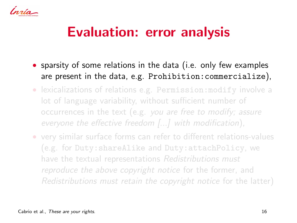,<br>nata

# Evaluation: error analysis

- sparsity of some relations in the data (i.e. only few examples are present in the data, e.g. Prohibition:commercialize),
- lexicalizations of relations e.g. Permission:modify involve a lot of language variability, without sufficient number of occurrences in the text (e.g. you are free to modify; assure everyone the effective freedom [...] with modification),
- very similar surface forms can refer to different relations-values (e.g. for Duty:shareAlike and Duty:attachPolicy, we have the textual representations Redistributions must reproduce the above copyright notice for the former, and Redistributions must retain the copyright notice for the latter)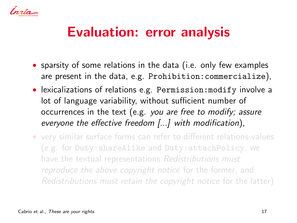lnato

### Evaluation: error analysis

- sparsity of some relations in the data (i.e. only few examples are present in the data, e.g. Prohibition:commercialize),
- lexicalizations of relations e.g. Permission:modify involve a lot of language variability, without sufficient number of occurrences in the text (e.g. you are free to modify; assure everyone the effective freedom [...] with modification),
- very similar surface forms can refer to different relations-values (e.g. for Duty:shareAlike and Duty:attachPolicy, we have the textual representations Redistributions must reproduce the above copyright notice for the former, and Redistributions must retain the copyright notice for the latter)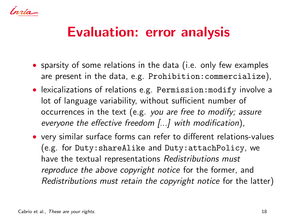tuata

### Evaluation: error analysis

- sparsity of some relations in the data (i.e. only few examples are present in the data, e.g. Prohibition:commercialize),
- lexicalizations of relations e.g. Permission:modify involve a lot of language variability, without sufficient number of occurrences in the text (e.g. you are free to modify; assure everyone the effective freedom [...] with modification),
- very similar surface forms can refer to different relations-values (e.g. for Duty:shareAlike and Duty:attachPolicy, we have the textual representations Redistributions must reproduce the above copyright notice for the former, and Redistributions must retain the copyright notice for the latter)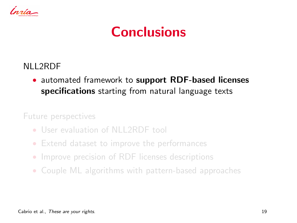

### Conclusions

#### NLL2RDF

• automated framework to support RDF-based licenses specifications starting from natural language texts

Future perspectives

- User evaluation of NLL2RDF tool
- Extend dataset to improve the performances
- Improve precision of RDF licenses descriptions
- Couple ML algorithms with pattern-based approaches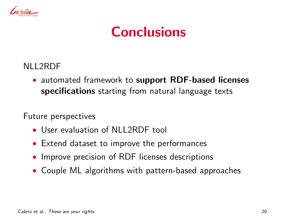

### Conclusions

NLL2RDF

• automated framework to support RDF-based licenses specifications starting from natural language texts

Future perspectives

- User evaluation of NLL2RDF tool
- Extend dataset to improve the performances
- Improve precision of RDF licenses descriptions
- Couple ML algorithms with pattern-based approaches